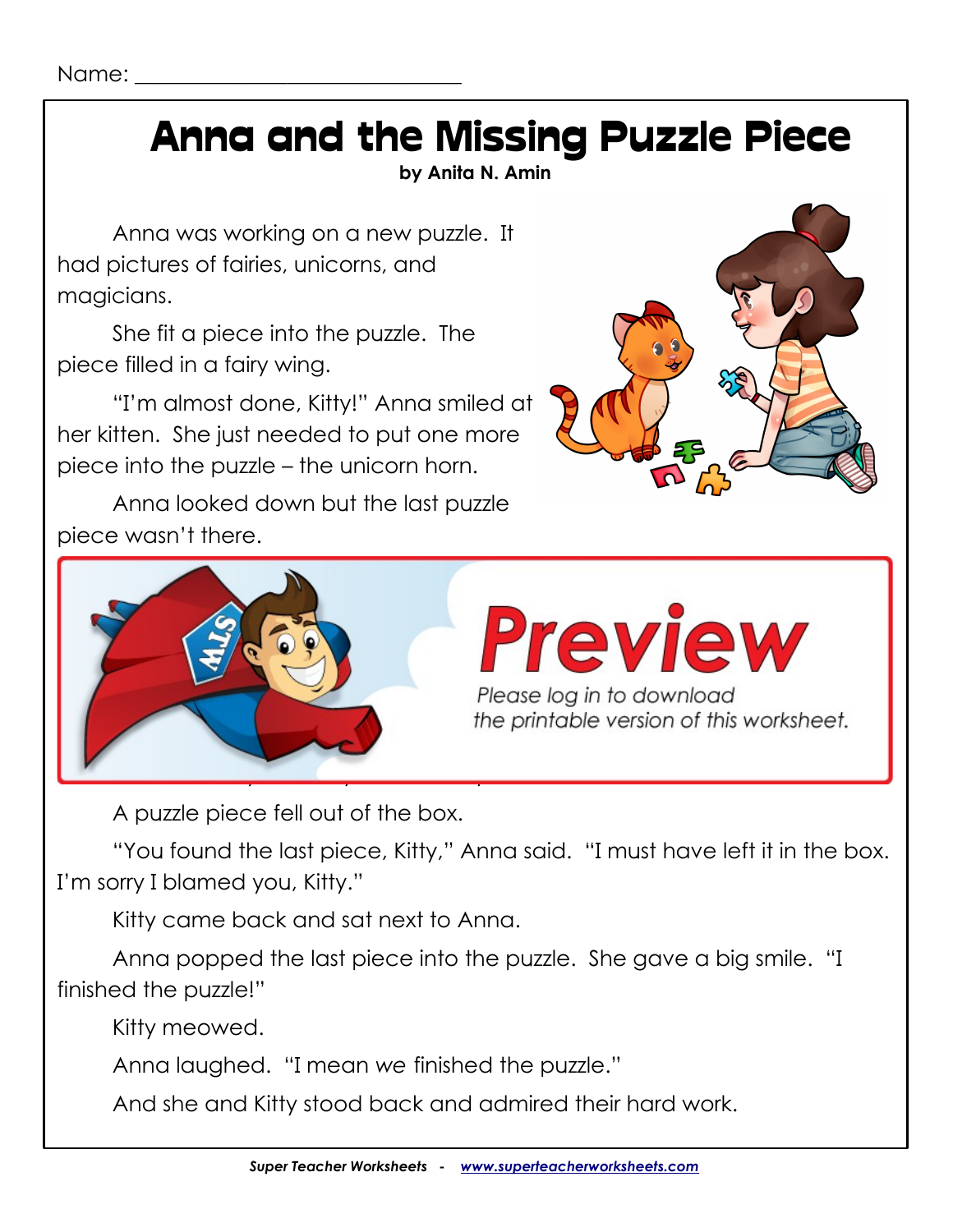# Anna and the Missing Puzzle Piece

**by Anita N. Amin**

Anna was working on a new puzzle. It had pictures of fairies, unicorns, and magicians.

She fit a piece into the puzzle. The piece filled in a fairy wing.

"I'm almost done, Kitty!" Anna smiled at her kitten. She just needed to put one more piece into the puzzle – the unicorn horn.

Anna looked down but the last puzzle piece wasn't there.





A puzzle piece fell out of the box.

"You found the last piece, Kitty," Anna said. "I must have left it in the box. I'm sorry I blamed you, Kitty."

Kitty came back and sat next to Anna.

leave. On her way out, Kitty kicked the puzzle box.

Anna popped the last piece into the puzzle. She gave a big smile. "I finished the puzzle!"

Kitty meowed.

Anna laughed. "I mean *we* finished the puzzle."

And she and Kitty stood back and admired their hard work.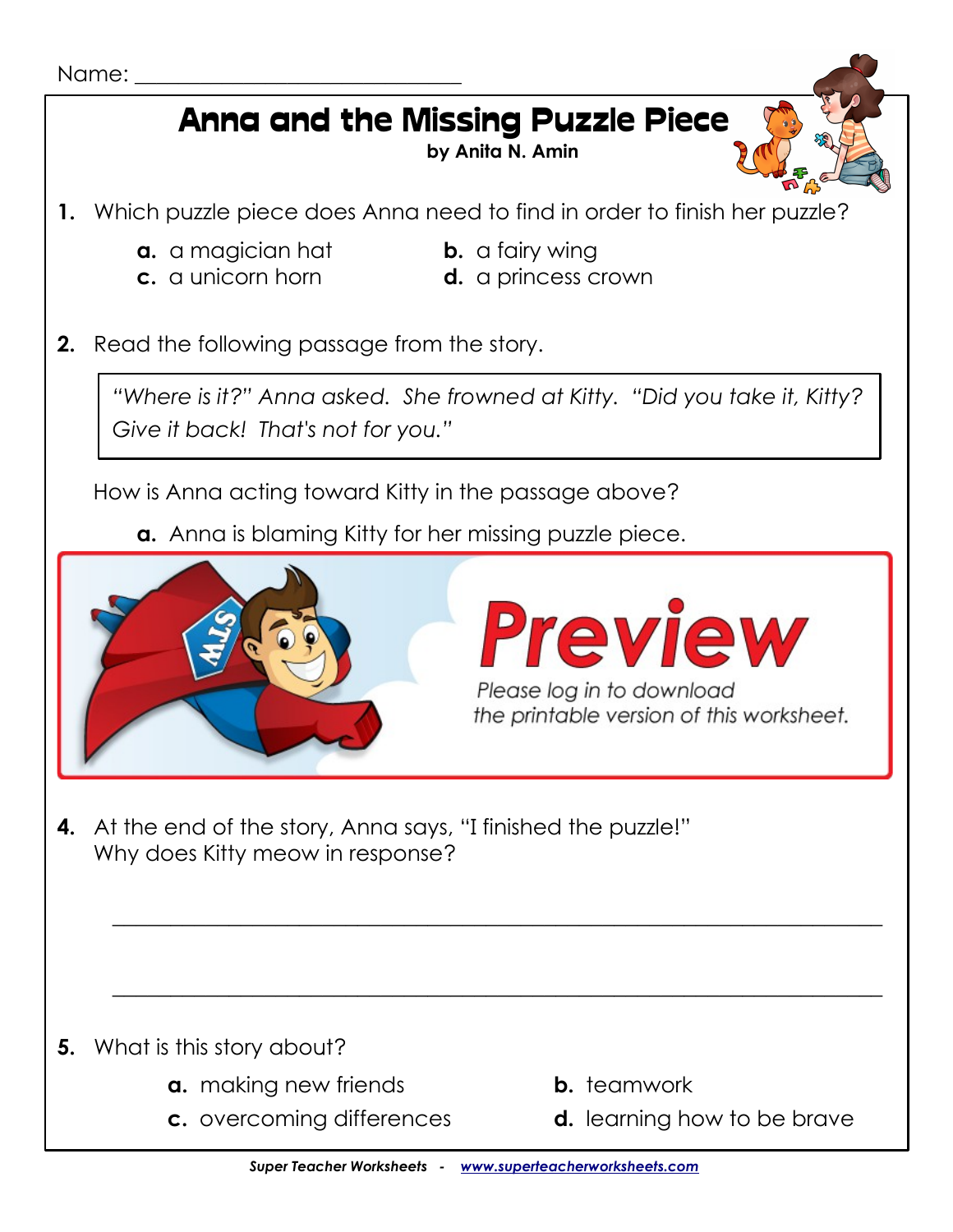# Anna and the Missing Puzzle Piece

**by Anita N. Amin**

- **1.** Which puzzle piece does Anna need to find in order to finish her puzzle?
	- **a.** a magician hat **b.** a fairy wing
	-
- 
- **c.** a unicorn horn **d.** a princess crown
- **2.** Read the following passage from the story.

*"Where is it?" Anna asked. She frowned at Kitty. "Did you take it, Kitty? Give it back! That's not for you."*

How is Anna acting toward Kitty in the passage above?

**a.** Anna is blaming Kitty for her missing puzzle piece.



**4.** At the end of the story, Anna says, "I finished the puzzle!" Why does Kitty meow in response?

- **5.** What is this story about?
	- **a.** making new friends **b.** teamwork
	-
- 
- **c.** overcoming differences **d.** learning how to be brave

 $\_$  , and the set of the set of the set of the set of the set of the set of the set of the set of the set of the set of the set of the set of the set of the set of the set of the set of the set of the set of the set of th

 $\_$  , and the set of the set of the set of the set of the set of the set of the set of the set of the set of the set of the set of the set of the set of the set of the set of the set of the set of the set of the set of th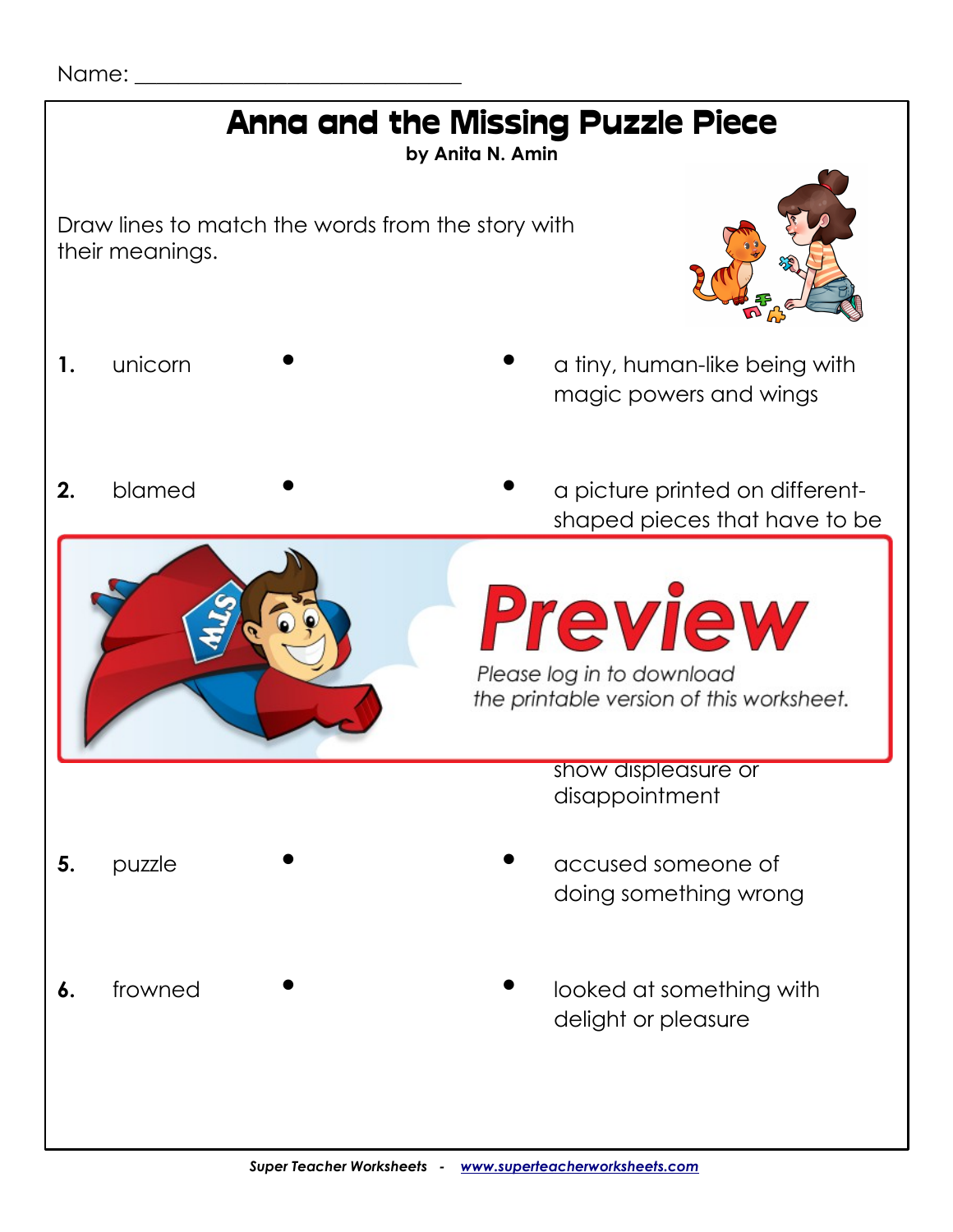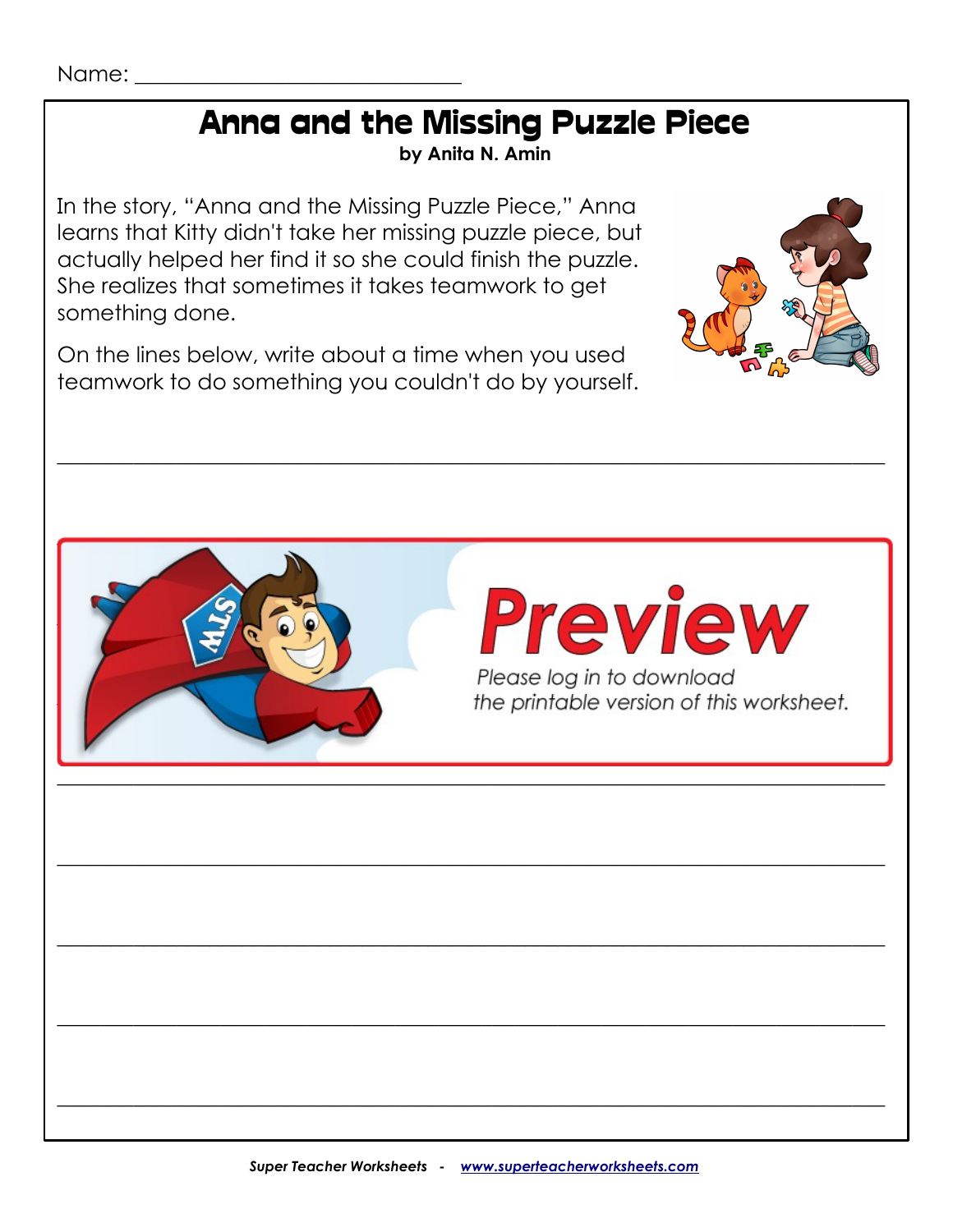Name:

# Anna and the Missing Puzzle Piece

**by Anita N. Amin**

\_\_\_\_\_\_\_\_\_\_\_\_\_\_\_\_\_\_\_\_\_\_\_\_\_\_\_\_\_\_\_\_\_\_\_\_\_\_\_\_\_\_\_\_\_\_\_\_\_\_\_\_\_\_\_\_\_\_\_\_\_\_\_\_\_\_\_\_\_\_\_\_\_\_\_\_

\_\_\_\_\_\_\_\_\_\_\_\_\_\_\_\_\_\_\_\_\_\_\_\_\_\_\_\_\_\_\_\_\_\_\_\_\_\_\_\_\_\_\_\_\_\_\_\_\_\_\_\_\_\_\_\_\_\_\_\_\_\_\_\_\_\_\_\_\_\_\_\_\_\_\_\_

 $\overline{\phantom{a}}$  , and the set of the set of the set of the set of the set of the set of the set of the set of the set of the set of the set of the set of the set of the set of the set of the set of the set of the set of the s

\_\_\_\_\_\_\_\_\_\_\_\_\_\_\_\_\_\_\_\_\_\_\_\_\_\_\_\_\_\_\_\_\_\_\_\_\_\_\_\_\_\_\_\_\_\_\_\_\_\_\_\_\_\_\_\_\_\_\_\_\_\_\_\_\_\_\_\_\_\_\_\_\_\_\_\_

 $\_$  , and the set of the set of the set of the set of the set of the set of the set of the set of the set of the set of the set of the set of the set of the set of the set of the set of the set of the set of the set of th

\_\_\_\_\_\_\_\_\_\_\_\_\_\_\_\_\_\_\_\_\_\_\_\_\_\_\_\_\_\_\_\_\_\_\_\_\_\_\_\_\_\_\_\_\_\_\_\_\_\_\_\_\_\_\_\_\_\_\_\_\_\_\_\_\_\_\_\_\_\_\_\_\_\_\_\_

 $\_$  , and the set of the set of the set of the set of the set of the set of the set of the set of the set of the set of the set of the set of the set of the set of the set of the set of the set of the set of the set of th

In the story, "Anna and the Missing Puzzle Piece," Anna learns that Kitty didn't take her missing puzzle piece, but actually helped her find it so she could finish the puzzle. She realizes that sometimes it takes teamwork to get something done.

On the lines below, write about a time when you used teamwork to do something you couldn't do by yourself.





# Preview Please log in to download<br>the printable version of this worksheet.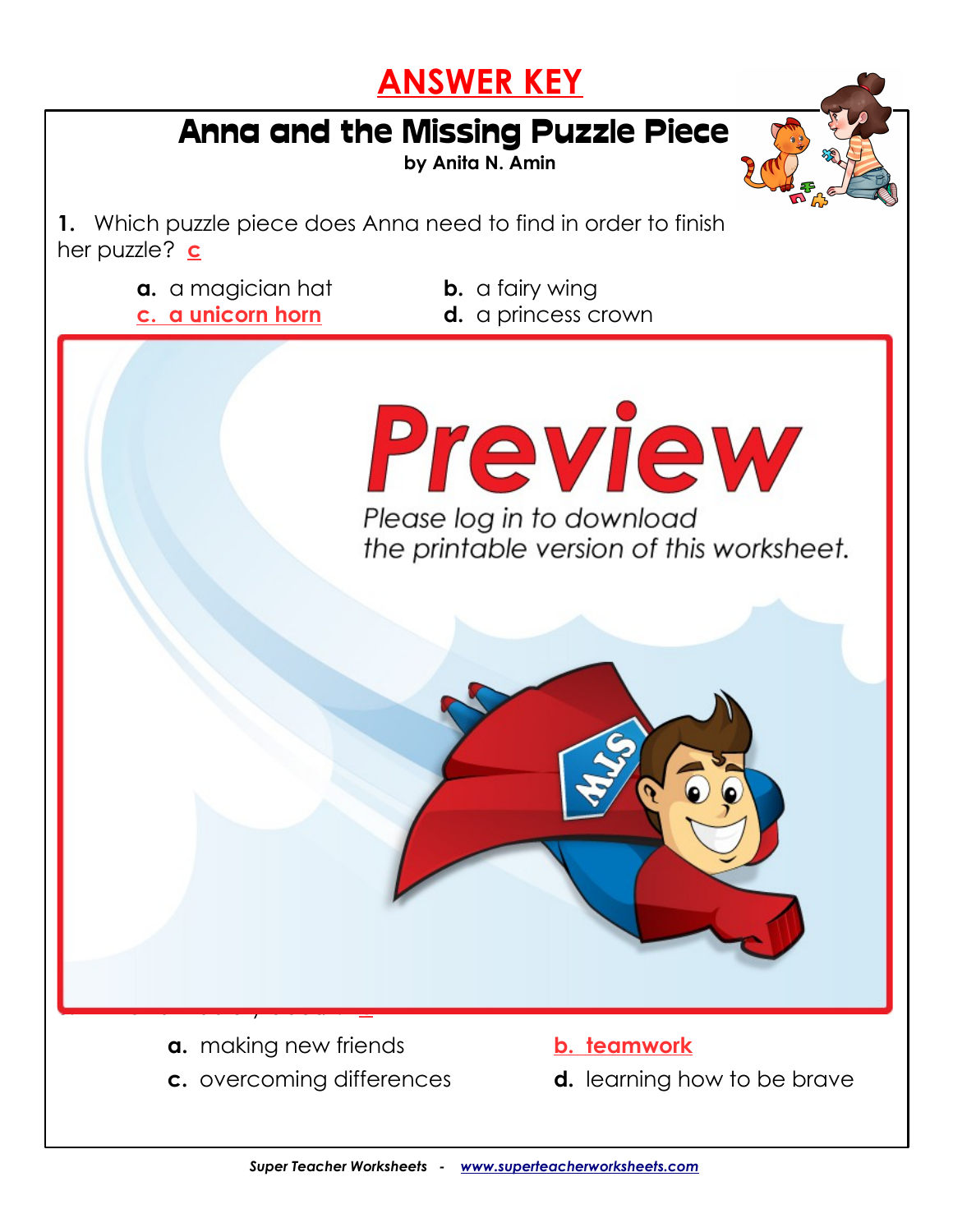#### **ANSWER KEY**

# Anna and the Missing Puzzle Piece

**by Anita N. Amin**

**1.** Which puzzle piece does Anna need to find in order to finish her puzzle? **c**

- **a.** a magician hat **b.** a fairy wing
	-
- **c. a unicorn horn d.** a princess crown



**c.** overcoming differences **d.** learning how to be brave